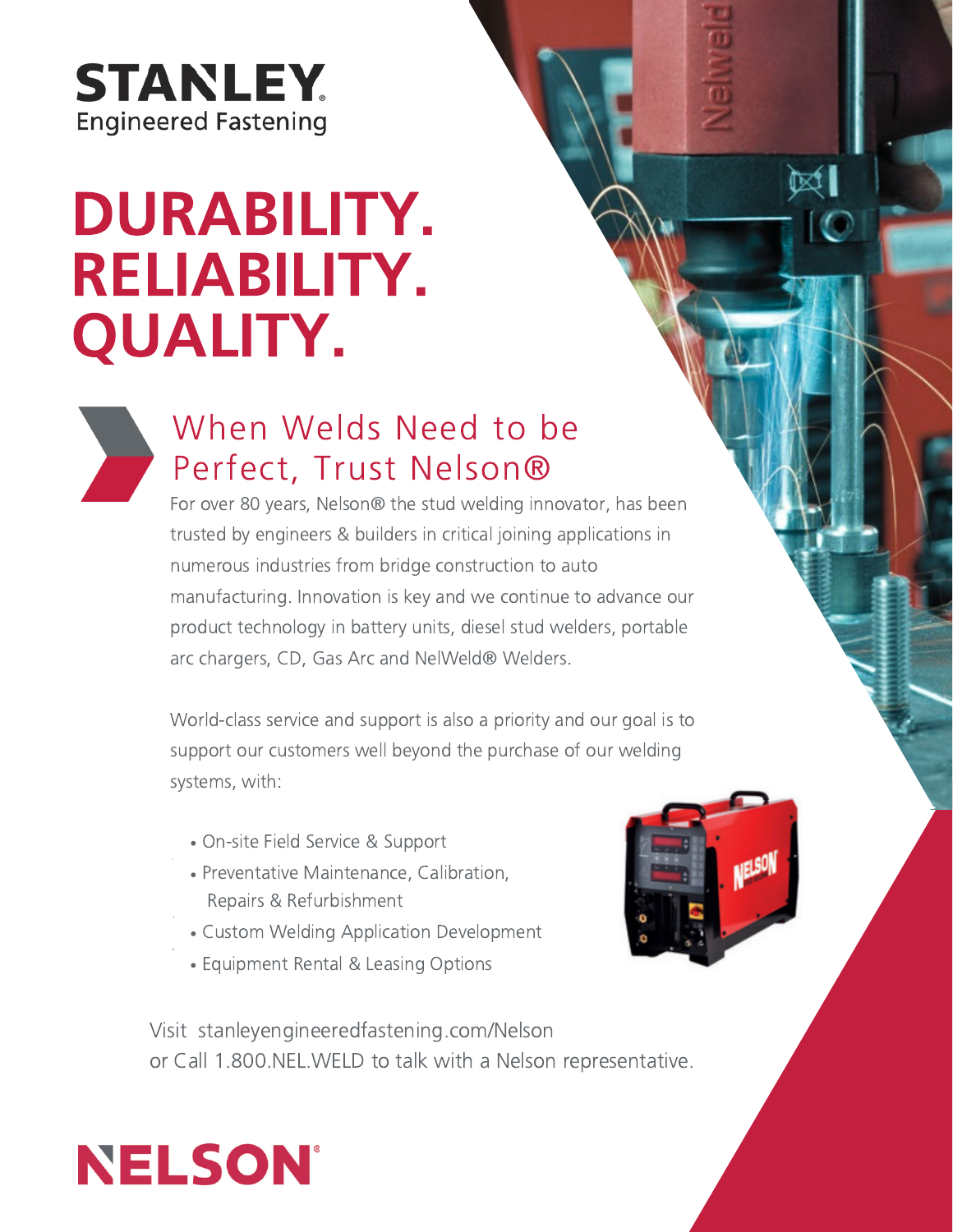## **STANLEY. Engineered Fastening**

# DURABILITY. RELIABILITY. QUALITY.



### When Welds Need to be Perfect, Trust Nelson®

arc chargers, CD, Gas Arc and NelWeld® Welders. For over 80 years, Nelson® the stud welding innovator, has been trusted by engineers & builders in critical joining applications in numerous industries from bridge construction to auto manufacturing. Innovation is key and we continue to advance our product technology in battery units, diesel stud welders, portable

World-class service and support is also a priority and our goal is to strong elass service and support is also a phonty and our goarts to<br>support our customers well bevond the purchase of our welding systems, with:

- On-site Field Service & Support
- Preventative Maintenance, Calibration, Repairs & Refurbishment
- Custom Welding Application Development
- Equipment Rental & Leasing Options



 $\boxtimes$ 

Visit stanleyengineeredfastening.com/Nelson or Call 1.800.NEL.WELD to talk with a Nelson representative.